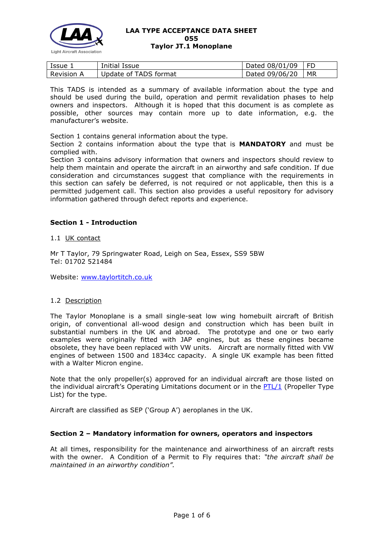

| Issue             | Initial Issue         | Dated $08/01/09$   FD |    |
|-------------------|-----------------------|-----------------------|----|
| <b>Revision A</b> | Update of TADS format | Dated 09/06/20        | MR |

This TADS is intended as a summary of available information about the type and should be used during the build, operation and permit revalidation phases to help owners and inspectors. Although it is hoped that this document is as complete as possible, other sources may contain more up to date information, e.g. the manufacturer's website.

Section 1 contains general information about the type.

Section 2 contains information about the type that is **MANDATORY** and must be complied with.

Section 3 contains advisory information that owners and inspectors should review to help them maintain and operate the aircraft in an airworthy and safe condition. If due consideration and circumstances suggest that compliance with the requirements in this section can safely be deferred, is not required or not applicable, then this is a permitted judgement call. This section also provides a useful repository for advisory information gathered through defect reports and experience.

## **Section 1 - Introduction**

1.1 UK contact

Mr T Taylor, 79 Springwater Road, Leigh on Sea, Essex, SS9 5BW Tel: 01702 521484

Website: [www.taylortitch.co.uk](http://www.taylortitch.co.uk/)

### 1.2 Description

The Taylor Monoplane is a small single-seat low wing homebuilt aircraft of British origin, of conventional all-wood design and construction which has been built in substantial numbers in the UK and abroad. The prototype and one or two early examples were originally fitted with JAP engines, but as these engines became obsolete, they have been replaced with VW units. Aircraft are normally fitted with VW engines of between 1500 and 1834cc capacity. A single UK example has been fitted with a Walter Micron engine.

Note that the only propeller(s) approved for an individual aircraft are those listed on the individual aircraft's Operating Limitations document or in the  $PTL/1$  (Propeller Type List) for the type.

Aircraft are classified as SEP ('Group A') aeroplanes in the UK.

### **Section 2 – Mandatory information for owners, operators and inspectors**

At all times, responsibility for the maintenance and airworthiness of an aircraft rests with the owner. A Condition of a Permit to Fly requires that: *"the aircraft shall be maintained in an airworthy condition".*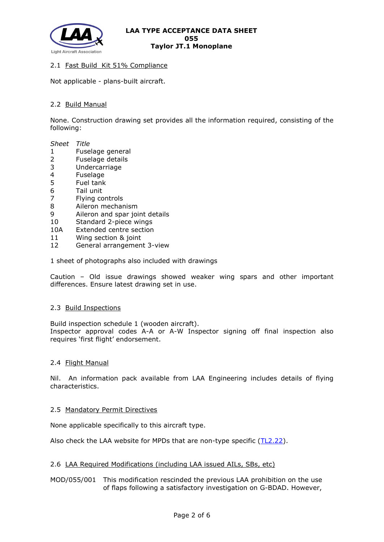

## 2.1 Fast Build Kit 51% Compliance

Not applicable - plans-built aircraft.

## 2.2 Build Manual

None. Construction drawing set provides all the information required, consisting of the following:

#### *Sheet Title*

- 1 Fuselage general
- 2 Fuselage details<br>3 Undercarriage
- **Undercarriage**
- 4 Fuselage
- 5 Fuel tank
- 6 Tail unit
- 7 Flying controls
- 8 Aileron mechanism
- 9 Aileron and spar joint details
- 10 Standard 2-piece wings
- 10A Extended centre section
- 11 Wing section & joint
- 12 General arrangement 3-view

1 sheet of photographs also included with drawings

Caution – Old issue drawings showed weaker wing spars and other important differences. Ensure latest drawing set in use.

### 2.3 Build Inspections

Build inspection schedule 1 (wooden aircraft). Inspector approval codes A-A or A-W Inspector signing off final inspection also

requires 'first flight' endorsement.

### 2.4 Flight Manual

Nil. An information pack available from LAA Engineering includes details of flying characteristics.

### 2.5 Mandatory Permit Directives

None applicable specifically to this aircraft type.

Also check the LAA website for MPDs that are non-type specific [\(TL2.22\)](http://www.lightaircraftassociation.co.uk/engineering/TechnicalLeaflets/Operating%20An%20Aircraft/TL%202.22%20non-type%20specific%20MPDs.pdf).

### 2.6 LAA Required Modifications (including LAA issued AILs, SBs, etc)

## MOD/055/001 This modification rescinded the previous LAA prohibition on the use of flaps following a satisfactory investigation on G-BDAD. However,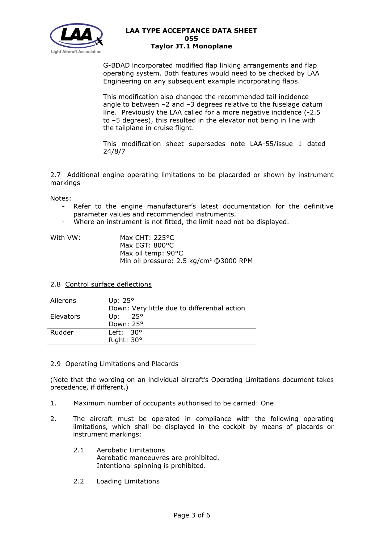

G-BDAD incorporated modified flap linking arrangements and flap operating system. Both features would need to be checked by LAA Engineering on any subsequent example incorporating flaps.

This modification also changed the recommended tail incidence angle to between  $-2$  and  $-3$  degrees relative to the fuselage datum line. Previously the LAA called for a more negative incidence (-2.5 to –5 degrees), this resulted in the elevator not being in line with the tailplane in cruise flight.

This modification sheet supersedes note LAA-55/issue 1 dated 24/8/7

2.7 Additional engine operating limitations to be placarded or shown by instrument markings

Notes:

- Refer to the engine manufacturer's latest documentation for the definitive parameter values and recommended instruments.
- Where an instrument is not fitted, the limit need not be displayed.

| With VW: | Max CHT: $225^{\circ}$ C                           |
|----------|----------------------------------------------------|
|          | Max EGT: $800^{\circ}$ C                           |
|          | Max oil temp: 90°C                                 |
|          | Min oil pressure: 2.5 kg/cm <sup>2</sup> @3000 RPM |

### 2.8 Control surface deflections

| Ailerons  | Up: $25^\circ$                               |
|-----------|----------------------------------------------|
|           | Down: Very little due to differential action |
| Elevators | 25°<br>Up:                                   |
|           | Down: 25°                                    |
| Rudder    | Left: $30^{\circ}$                           |
|           | Right: 30°                                   |

### 2.9 Operating Limitations and Placards

(Note that the wording on an individual aircraft's Operating Limitations document takes precedence, if different.)

- 1. Maximum number of occupants authorised to be carried: One
- 2. The aircraft must be operated in compliance with the following operating limitations, which shall be displayed in the cockpit by means of placards or instrument markings:
	- 2.1 Aerobatic Limitations Aerobatic manoeuvres are prohibited. Intentional spinning is prohibited.
	- 2.2 Loading Limitations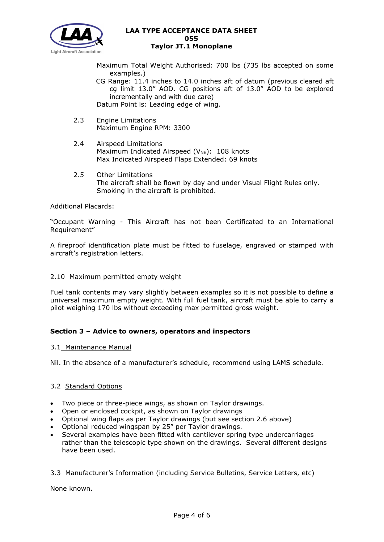

Maximum Total Weight Authorised: 700 lbs (735 lbs accepted on some examples.)

- CG Range: 11.4 inches to 14.0 inches aft of datum (previous cleared aft cg limit 13.0" AOD. CG positions aft of 13.0" AOD to be explored incrementally and with due care) Datum Point is: Leading edge of wing.
- 2.3 Engine Limitations Maximum Engine RPM: 3300
- 2.4 Airspeed Limitations Maximum Indicated Airspeed ( $V_{NE}$ ): 108 knots Max Indicated Airspeed Flaps Extended: 69 knots
- 2.5 Other Limitations The aircraft shall be flown by day and under Visual Flight Rules only. Smoking in the aircraft is prohibited.

Additional Placards:

"Occupant Warning - This Aircraft has not been Certificated to an International Requirement"

A fireproof identification plate must be fitted to fuselage, engraved or stamped with aircraft's registration letters.

### 2.10 Maximum permitted empty weight

Fuel tank contents may vary slightly between examples so it is not possible to define a universal maximum empty weight. With full fuel tank, aircraft must be able to carry a pilot weighing 170 lbs without exceeding max permitted gross weight.

# **Section 3 – Advice to owners, operators and inspectors**

### 3.1 Maintenance Manual

Nil. In the absence of a manufacturer's schedule, recommend using LAMS schedule.

### 3.2 Standard Options

- Two piece or three-piece wings, as shown on Taylor drawings.
- Open or enclosed cockpit, as shown on Taylor drawings
- Optional wing flaps as per Taylor drawings (but see section 2.6 above)
- Optional reduced wingspan by 25" per Taylor drawings.
- Several examples have been fitted with cantilever spring type undercarriages rather than the telescopic type shown on the drawings. Several different designs have been used.

### 3.3 Manufacturer's Information (including Service Bulletins, Service Letters, etc)

None known.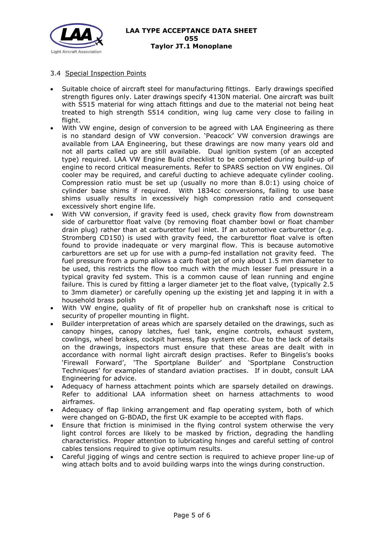

# 3.4 Special Inspection Points

- Suitable choice of aircraft steel for manufacturing fittings. Early drawings specified strength figures only. Later drawings specify 4130N material. One aircraft was built with S515 material for wing attach fittings and due to the material not being heat treated to high strength S514 condition, wing lug came very close to failing in flight.
- With VW engine, design of conversion to be agreed with LAA Engineering as there is no standard design of VW conversion. 'Peacock' VW conversion drawings are available from LAA Engineering, but these drawings are now many years old and not all parts called up are still available. Dual ignition system (of an accepted type) required. LAA VW Engine Build checklist to be completed during build-up of engine to record critical measurements. Refer to SPARS section on VW engines. Oil cooler may be required, and careful ducting to achieve adequate cylinder cooling. Compression ratio must be set up (usually no more than 8.0:1) using choice of cylinder base shims if required. With 1834cc conversions, failing to use base shims usually results in excessively high compression ratio and consequent excessively short engine life.
- With VW conversion, if gravity feed is used, check gravity flow from downstream side of carburettor float valve (by removing float chamber bowl or float chamber drain plug) rather than at carburettor fuel inlet. If an automotive carburettor (e.g. Stromberg CD150) is used with gravity feed, the carburettor float valve is often found to provide inadequate or very marginal flow. This is because automotive carburettors are set up for use with a pump-fed installation not gravity feed. The fuel pressure from a pump allows a carb float jet of only about 1.5 mm diameter to be used, this restricts the flow too much with the much lesser fuel pressure in a typical gravity fed system. This is a common cause of lean running and engine failure. This is cured by fitting a larger diameter jet to the float valve, (typically 2.5 to 3mm diameter) or carefully opening up the existing jet and lapping it in with a household brass polish
- With VW engine, quality of fit of propeller hub on crankshaft nose is critical to security of propeller mounting in flight.
- Builder interpretation of areas which are sparsely detailed on the drawings, such as canopy hinges, canopy latches, fuel tank, engine controls, exhaust system, cowlings, wheel brakes, cockpit harness, flap system etc. Due to the lack of details on the drawings, inspectors must ensure that these areas are dealt with in accordance with normal light aircraft design practises. Refer to Bingelis's books 'Firewall Forward', 'The Sportplane Builder' and 'Sportplane Construction Techniques' for examples of standard aviation practises. If in doubt, consult LAA Engineering for advice.
- Adequacy of harness attachment points which are sparsely detailed on drawings. Refer to additional LAA information sheet on harness attachments to wood airframes.
- Adequacy of flap linking arrangement and flap operating system, both of which were changed on G-BDAD, the first UK example to be accepted with flaps.
- Ensure that friction is minimised in the flying control system otherwise the very light control forces are likely to be masked by friction, degrading the handling characteristics. Proper attention to lubricating hinges and careful setting of control cables tensions required to give optimum results.
- Careful jigging of wings and centre section is required to achieve proper line-up of wing attach bolts and to avoid building warps into the wings during construction.